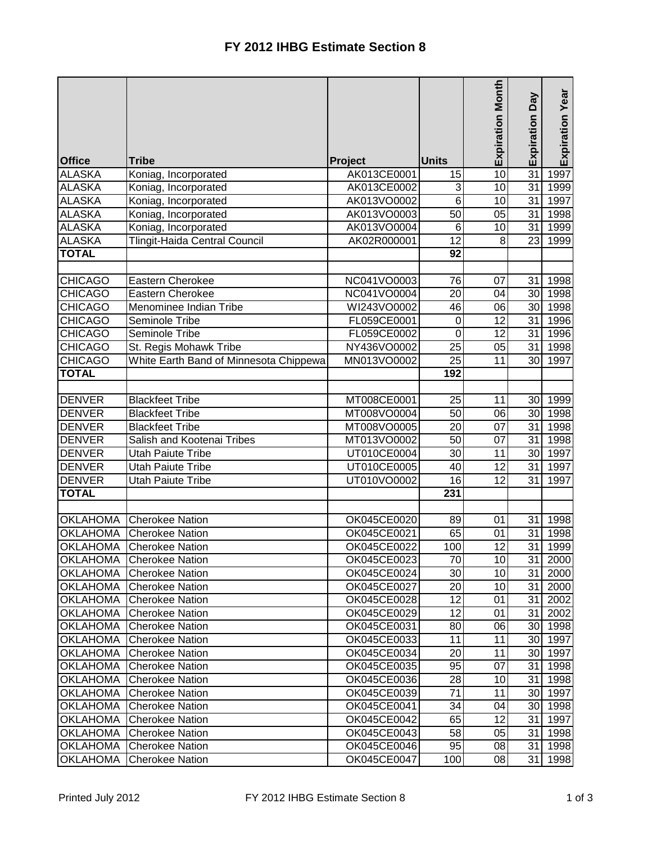|                 |                                        |             |                  |                         | Veq             |                 |
|-----------------|----------------------------------------|-------------|------------------|-------------------------|-----------------|-----------------|
| <b>Office</b>   | <b>Tribe</b>                           | Project     | <b>Units</b>     | <b>Expiration Month</b> | Expiration      | Expiration Year |
| <b>ALASKA</b>   | Koniag, Incorporated                   | AK013CE0001 | 15               | $\overline{10}$         | 31              | 1997            |
| <b>ALASKA</b>   | Koniag, Incorporated                   | AK013CE0002 | 3                | 10                      | 31              | 1999            |
| <b>ALASKA</b>   | Koniag, Incorporated                   | AK013VO0002 | $6\phantom{1}$   | 10                      | 31              | 1997            |
| <b>ALASKA</b>   | Koniag, Incorporated                   | AK013VO0003 | 50               | 05                      | 31              | 1998            |
| <b>ALASKA</b>   | Koniag, Incorporated                   | AK013VO0004 | $6\phantom{1}$   | 10                      | 31              | 1999            |
| <b>ALASKA</b>   | <b>Tlingit-Haida Central Council</b>   | AK02R000001 | 12               | 8                       | 23              | 1999            |
| <b>TOTAL</b>    |                                        |             | 92               |                         |                 |                 |
|                 |                                        |             |                  |                         |                 |                 |
| <b>CHICAGO</b>  | <b>Eastern Cherokee</b>                | NC041VO0003 | 76               | 07                      | 31              | 1998            |
| <b>CHICAGO</b>  | Eastern Cherokee                       | NC041VO0004 | 20               | 04                      | 30              | 1998            |
| <b>CHICAGO</b>  | Menominee Indian Tribe                 | WI243VO0002 | 46               | 06                      | 30              | 1998            |
| <b>CHICAGO</b>  | Seminole Tribe                         | FL059CE0001 | $\boldsymbol{0}$ | 12                      | 31              | 1996            |
| <b>CHICAGO</b>  | <b>Seminole Tribe</b>                  | FL059CE0002 | 0                | $\overline{12}$         | 31              | 1996            |
| <b>CHICAGO</b>  | St. Regis Mohawk Tribe                 | NY436VO0002 | 25               | 05                      | 31              | 1998            |
| <b>CHICAGO</b>  | White Earth Band of Minnesota Chippewa | MN013VO0002 | $\overline{25}$  | 11                      | 30 <sup>1</sup> | 1997            |
| <b>TOTAL</b>    |                                        |             | 192              |                         |                 |                 |
|                 |                                        |             |                  |                         |                 |                 |
| <b>DENVER</b>   | <b>Blackfeet Tribe</b>                 | MT008CE0001 | 25               | 11                      |                 | 30 1999         |
| <b>DENVER</b>   | <b>Blackfeet Tribe</b>                 | MT008VO0004 | 50               | 06                      | 30 <sup>1</sup> | 1998            |
| <b>DENVER</b>   | <b>Blackfeet Tribe</b>                 | MT008VO0005 | 20               | $\overline{07}$         | 31              | 1998            |
| <b>DENVER</b>   | Salish and Kootenai Tribes             | MT013VO0002 | 50               | 07                      | 31              | 1998            |
| <b>DENVER</b>   | <b>Utah Paiute Tribe</b>               | UT010CE0004 | 30               | 11                      | 30              | 1997            |
| <b>DENVER</b>   | <b>Utah Paiute Tribe</b>               | UT010CE0005 | 40               | 12                      | 31              | 1997            |
| <b>DENVER</b>   | <b>Utah Paiute Tribe</b>               | UT010VO0002 | 16               | 12                      | 31              | 1997            |
| <b>TOTAL</b>    |                                        |             | 231              |                         |                 |                 |
| <b>OKLAHOMA</b> | <b>Cherokee Nation</b>                 | OK045CE0020 | 89               | 01                      | 31              | 1998            |
| <b>OKLAHOMA</b> | <b>Cherokee Nation</b>                 | OK045CE0021 | 65               | 01                      | 31              | 1998            |
| <b>OKLAHOMA</b> | <b>Cherokee Nation</b>                 | OK045CE0022 | 100              | 12                      | $\overline{31}$ | 1999            |
| <b>OKLAHOMA</b> | <b>Cherokee Nation</b>                 | OK045CE0023 | 70               | 10                      |                 | 31 2000         |
| <b>OKLAHOMA</b> | <b>Cherokee Nation</b>                 | OK045CE0024 | 30               | 10                      |                 | 31 2000         |
| <b>OKLAHOMA</b> | <b>Cherokee Nation</b>                 | OK045CE0027 | 20               | 10                      |                 | 31 2000         |
| <b>OKLAHOMA</b> | <b>Cherokee Nation</b>                 | OK045CE0028 | $\overline{12}$  | 01                      |                 | 31 2002         |
| <b>OKLAHOMA</b> | <b>Cherokee Nation</b>                 | OK045CE0029 | 12               | 01                      |                 | 31 2002         |
| <b>OKLAHOMA</b> | <b>Cherokee Nation</b>                 | OK045CE0031 | 80               | 06                      |                 | 30 1998         |
| <b>OKLAHOMA</b> | <b>Cherokee Nation</b>                 | OK045CE0033 | 11               | 11                      |                 | 30 1997         |
| <b>OKLAHOMA</b> | <b>Cherokee Nation</b>                 | OK045CE0034 | 20               | 11                      |                 | 30 1997         |
| <b>OKLAHOMA</b> | <b>Cherokee Nation</b>                 | OK045CE0035 | 95               | 07                      |                 | 31 1998         |
| <b>OKLAHOMA</b> | <b>Cherokee Nation</b>                 | OK045CE0036 | 28               | 10                      |                 | 31 1998         |
| <b>OKLAHOMA</b> | <b>Cherokee Nation</b>                 | OK045CE0039 | 71               | 11                      |                 | 30 1997         |
| <b>OKLAHOMA</b> | <b>Cherokee Nation</b>                 | OK045CE0041 | 34               | 04                      |                 | 30 1998         |
| <b>OKLAHOMA</b> | <b>Cherokee Nation</b>                 | OK045CE0042 | 65               | 12                      |                 | 31 1997         |
| <b>OKLAHOMA</b> | <b>Cherokee Nation</b>                 | OK045CE0043 | 58               | 05                      |                 | 31 1998         |
| <b>OKLAHOMA</b> | <b>Cherokee Nation</b>                 | OK045CE0046 | 95               | 08                      |                 | 31 1998         |
| <b>OKLAHOMA</b> | <b>Cherokee Nation</b>                 | OK045CE0047 | 100              | 08                      | 31              | 1998            |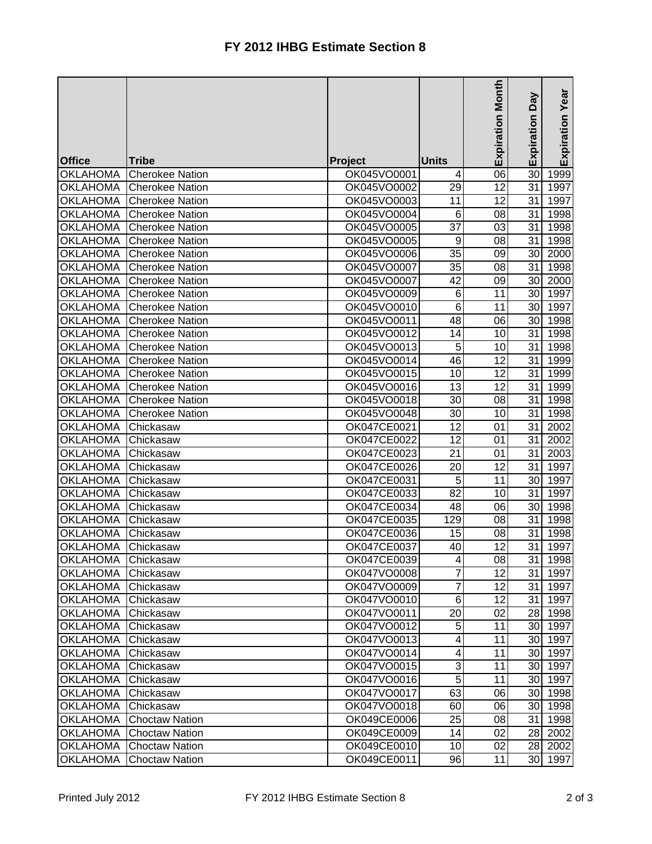|                    |                        |                |                 | <b>Expiration Month</b> | Veq             |                 |
|--------------------|------------------------|----------------|-----------------|-------------------------|-----------------|-----------------|
|                    |                        |                |                 |                         |                 | Expiration Year |
|                    |                        |                |                 |                         | Expiration      |                 |
|                    |                        |                |                 |                         |                 |                 |
| <b>Office</b>      | <b>Tribe</b>           | <b>Project</b> | Units           |                         |                 |                 |
| <b>OKLAHOMA</b>    | <b>Cherokee Nation</b> | OK045VO0001    | 4               | 06                      | 30              | 1999            |
| <b>OKLAHOMA</b>    | <b>Cherokee Nation</b> | OK045VO0002    | 29              | $\overline{12}$         | 31              | 1997            |
| <b>OKLAHOMA</b>    | <b>Cherokee Nation</b> | OK045VO0003    | 11              | 12                      | 31              | 1997            |
| <b>OKLAHOMA</b>    | <b>Cherokee Nation</b> | OK045VO0004    | 6               | 08                      | 31              | 1998            |
| <b>OKLAHOMA</b>    | <b>Cherokee Nation</b> | OK045VO0005    | 37              | 03                      | 31              | 1998            |
| <b>OKLAHOMA</b>    | <b>Cherokee Nation</b> | OK045VO0005    | 9               | 08                      | 31              | 1998            |
| <b>OKLAHOMA</b>    | <b>Cherokee Nation</b> | OK045VO0006    | 35              | 09                      | 30              | 2000            |
| <b>OKLAHOMA</b>    | <b>Cherokee Nation</b> | OK045VO0007    | 35              | 08                      | 31              | 1998            |
| <b>OKLAHOMA</b>    | <b>Cherokee Nation</b> | OK045VO0007    | $\overline{42}$ | 09                      | 30              | 2000            |
| <b>OKLAHOMA</b>    | <b>Cherokee Nation</b> | OK045VO0009    | 6               | 11                      | 30              | 1997            |
| <b>OKLAHOMA</b>    | <b>Cherokee Nation</b> | OK045VO0010    | 6               | 11                      | 30              | 1997            |
| <b>OKLAHOMA</b>    | <b>Cherokee Nation</b> | OK045VO0011    | 48              | 06                      | 30              | 1998            |
| <b>OKLAHOMA</b>    | <b>Cherokee Nation</b> | OK045VO0012    | 14              | 10                      | 31              | 1998            |
| <b>OKLAHOMA</b>    | <b>Cherokee Nation</b> | OK045VO0013    | 5               | 10                      | 31              | 1998            |
| <b>OKLAHOMA</b>    | Cherokee Nation        | OK045VO0014    | 46              | 12                      | 31              | 1999            |
| <b>OKLAHOMA</b>    | <b>Cherokee Nation</b> | OK045VO0015    | 10              | $\overline{12}$         | 31              | 1999            |
| <b>OKLAHOMA</b>    | <b>Cherokee Nation</b> | OK045VO0016    | 13              | 12                      | 31              | 1999            |
| <b>OKLAHOMA</b>    | <b>Cherokee Nation</b> | OK045VO0018    | 30              | 08                      | 31              | 1998            |
| <b>OKLAHOMA</b>    | <b>Cherokee Nation</b> | OK045VO0048    | 30              | 10                      | 31              | 1998            |
| <b>OKLAHOMA</b>    | Chickasaw              | OK047CE0021    | 12              | 01                      | 31              | 2002            |
| <b>OKLAHOMA</b>    | Chickasaw              | OK047CE0022    | 12              | 01                      | 31              | 2002            |
| <b>OKLAHOMA</b>    | Chickasaw              | OK047CE0023    | 21              | 01                      | 31              | 2003            |
| <b>OKLAHOMA</b>    | Chickasaw              | OK047CE0026    | 20              | 12                      | 31              | 1997            |
| <b>OKLAHOMA</b>    | Chickasaw              | OK047CE0031    | 5               | 11                      | 30              | 1997            |
| <b>OKLAHOMA</b>    | Chickasaw              | OK047CE0033    | 82              | 10                      | 31              | 1997            |
| <b>OKLAHOMA</b>    | Chickasaw              | OK047CE0034    | 48              | 06                      | 30              | 1998            |
| <b>OKLAHOMA</b>    | Chickasaw              | OK047CE0035    | 129             | 08                      | 31              | 1998            |
| <b>OKLAHOMA</b>    | Chickasaw              | OK047CE0036    | 15              | 08                      | 31              | 1998            |
| <b>OKLAHOMA</b>    | Chickasaw              | OK047CE0037    | 40              | 12                      | 31              | 1997            |
| OKLAHOMA Chickasaw |                        | OK047CE0039    | 4               | 08                      |                 | 31 1998         |
| <b>OKLAHOMA</b>    | Chickasaw              | OK047VO0008    | $\overline{7}$  | 12                      | 31              | 1997            |
| <b>OKLAHOMA</b>    | Chickasaw              | OK047VO0009    | 7               | 12                      | 31              | 1997            |
| <b>OKLAHOMA</b>    | Chickasaw              | OK047VO0010    | 6               | 12                      | 31              | 1997            |
| <b>OKLAHOMA</b>    | Chickasaw              | OK047VO0011    | 20              | 02                      |                 | 28 1998         |
| <b>OKLAHOMA</b>    | Chickasaw              | OK047VO0012    | 5               | 11                      | 30 <sup>1</sup> | 1997            |
| <b>OKLAHOMA</b>    | Chickasaw              | OK047VO0013    | 4               | 11                      |                 | 30 1997         |
| <b>OKLAHOMA</b>    | Chickasaw              | OK047VO0014    | 4               | 11                      |                 | 30 1997         |
| <b>OKLAHOMA</b>    | Chickasaw              | OK047VO0015    | 3               | 11                      |                 | 30 1997         |
| <b>OKLAHOMA</b>    | Chickasaw              | OK047VO0016    | 5               | 11                      |                 | 30 1997         |
| <b>OKLAHOMA</b>    | Chickasaw              | OK047VO0017    | 63              | 06                      |                 | 30 1998         |
| <b>OKLAHOMA</b>    | Chickasaw              | OK047VO0018    | 60              | 06                      |                 | 30 1998         |
| <b>OKLAHOMA</b>    | <b>Choctaw Nation</b>  | OK049CE0006    | 25              | 08                      |                 | 31   1998       |
| <b>OKLAHOMA</b>    | <b>Choctaw Nation</b>  | OK049CE0009    | 14              | 02                      |                 | 28 2002         |
| <b>OKLAHOMA</b>    | <b>Choctaw Nation</b>  | OK049CE0010    | 10              | 02                      | 28              | 2002            |
| <b>OKLAHOMA</b>    | <b>Choctaw Nation</b>  | OK049CE0011    | 96              | 11                      | 30              | 1997            |